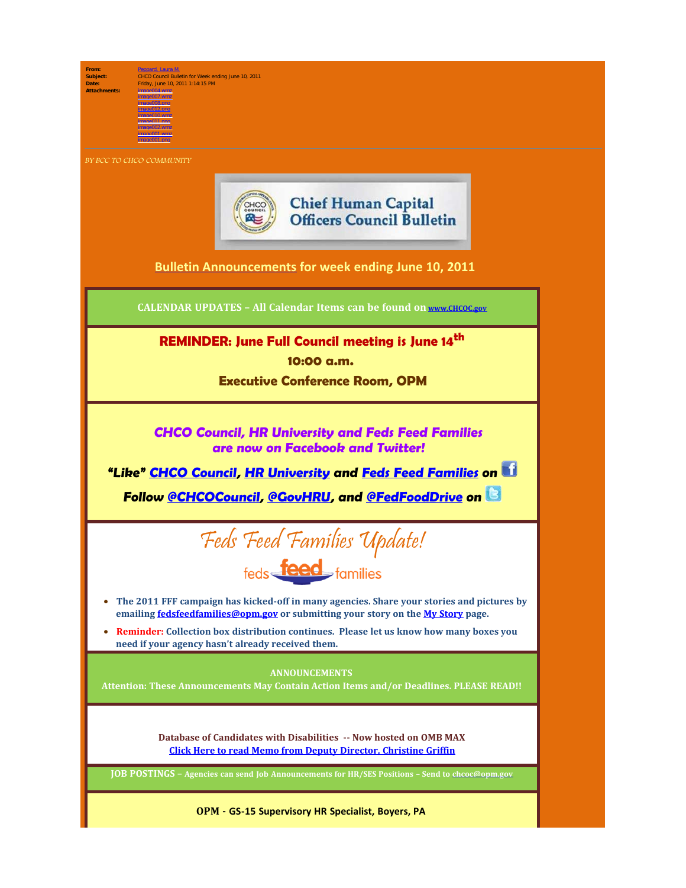

**From:** [Peppard, Laura M.](mailto:/O=OPM/OU=EXCHANGE ADMINISTRATIVE GROUP (FYDIBOHF23SPDLT)/CN=RECIPIENTS/CN=LMPEPPARD) **Subject:** CHCO Council Bulletin for Week ending June 10, 2011 **Date:** Friday, June 10, 2011 1:14:15 PM  $30007 \text{ mm}$ image008.png image012.png image010.wmz

BY BCC TO CHCO COMMUNITY

image011.png image002.wmz image001.wmz image001.png



**[Bulletin Announcements](http://chcoc.gov/Transmittals/Index.aspx) for week ending June 10, 2011**

**CALENDAR UPDATES – All Calendar Items can be found on [www.CHCOC.gov](http://www.chcoc.gov/)**

**REMINDER: June Full Council meeting is June 14th 10:00 a.m.**

 **Executive Conference Room, OPM**

**CHCO Council, HR University and Feds Feed Families are now on Facebook and Twitter!**

**"Like" [CHCO Council](http://www.facebook.com/home.php#!/pages/CHCO-Council/168795866510850), [HR University](http://www.facebook.com/home.php#!/pages/HR-University/223115527703335) and [Feds Feed Families](http://www.facebook.com/fedsfeedfamilies) on Follow [@CHCOCouncil,](http://twitter.com/#!/chcocouncil) [@GovHRU,](http://twitter.com/#!/GovHRU) and [@FedFoodDrive](http://twitter.com/#!/fedfooddrive) on** 



- · **The 2011 FFF campaign has kicked-off in many agencies. Share your stories and pictures by emailing [fedsfeedfamilies@opm.gov](mailto:fedsfeedfamilies@opm.gov) or submitting your story on the [My Story](http://www.fedsfeedfamilies.gov/blog/MyStory/index.aspx) page.**
- · **Reminder: Collection box distribution continues. Please let us know how many boxes you need if your agency hasn't already received them.**

**ANNOUNCEMENTS** 

**Attention: These Announcements May Contain Action Items and/or Deadlines. PLEASE READ!!**

**Database of Candidates with Disabilities -- Now hosted on OMB MAX [Click Here to read Memo from Deputy Director, Christine Griffin](http://www.chcoc.gov/transmittals/TransmittalDetails.aspx?TransmittalID=3713)**

**JOB POSTINGS – Agencies can send Job Announcements for HR/SES Positions – Send to [chcoc@opm.gov](mailto:chcoc@opm.gov)**

**OPM - GS-15 Supervisory HR Specialist, Boyers, PA**